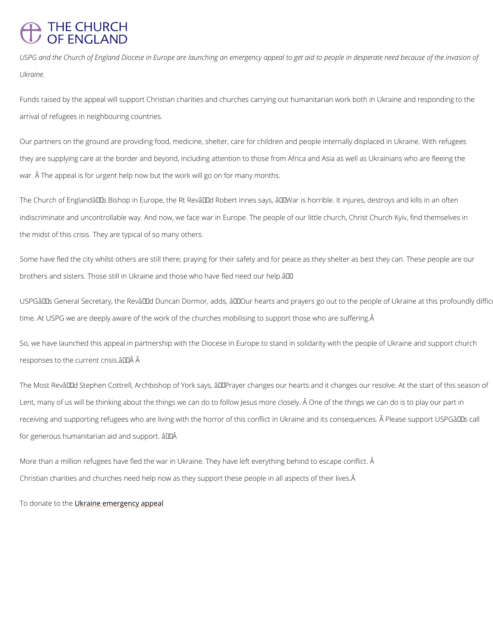## **THE CHURCH** OF ENGLAND

USPG and the Church of England Diocese in Europe are launching an emergency appeal to ge Ukraine.

Funds raised by the appeal will support Christian charities and churches carrying out humani arrival of refugees in neighbouring countries.

Our partners on the ground are providing food, medicine, shelter, care for children and peop they are supplying care at the border and beyond, including attention to those from Africa ar war. Â The appeal is for urgent help now but the work will go on for many months.

The Church of England's Bishop in Europe, the Rt Rev'd Robert Innes says, â€~War is indiscriminate and uncontrollable way. And now, we face war in Europe. The people of our lit the midst of this crisis. They are typical of so many others.

Some have fled the city whilst others are still there; praying for their safety and for peace a brothers and sisters. Those still in Ukraine and those who have fled need our help.  $\hat{a} \in \text{TM}$ 

USPG's General Secretary, the Rev'd Duncan Dormor, adds, â€~Our hearts and prayer time. At USPG we are deeply aware of the work of the churches mobilising to support those v

So, we have launched this appeal in partnership with the Diocese in Europe to stand in solid responses to the current crisis. $\hat{a} \in \text{TM}$   $\hat{A}$ 

The Most Rev'd Stephen Cottrell, Archbishop of York says, â€~Prayer changes our hearts Lent, many of us will be thinking about the things we can do to follow Jesus more closely. A receiving and supporting refugees who are living with the horror of this conflict in Ukraine a for generous humanitarian aid and support.  $\hat{a} \in \text{TM} \hat{A}$ 

More than a million refugees have fled the war in Ukraine. They have left everything behind

Christian charities and churches need help now as they support these people in all aspects o

To donate tubkthene emergency appeal